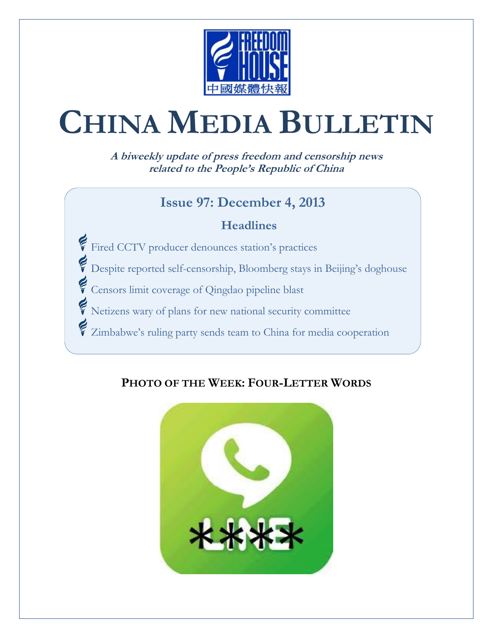

# **CHINA MEDIA BULLETIN**

**A biweekly update of press freedom and censorship news related to the People's Republic of China**

#### **Issue 97: December 4, 2013**

#### **Headlines**

Fired CCTV producer denounces station's practices

Despite reported self-censorship, Bloomberg stays in Beijing's doghouse

Censors limit coverage of Qingdao pipeline blast

Netizens wary of plans for new national security committee

Zimbabwe's ruling party sends team to China for media cooperation

#### **PHOTO OF THE WEEK: FOUR-LETTER WORDS**

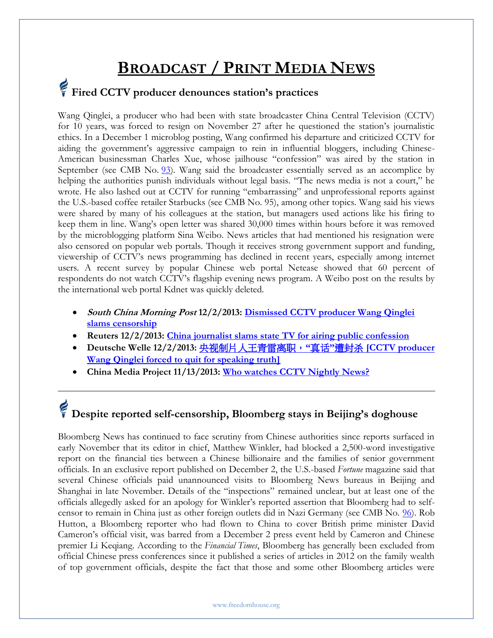### **BROADCAST / PRINT MEDIA NEWS**

### **Fired CCTV producer denounces station's practices**

Wang Qinglei, a producer who had been with state broadcaster China Central Television (CCTV) for 10 years, was forced to resign on November 27 after he questioned the station's journalistic ethics. In a December 1 microblog posting, Wang confirmed his departure and criticized CCTV for aiding the government's aggressive campaign to rein in influential bloggers, including Chinese-American businessman Charles Xue, whose jailhouse "confession" was aired by the station in September (see CMB No. [93\)](http://www.freedomhouse.org/cmb/93_091913#3). Wang said the broadcaster essentially served as an accomplice by helping the authorities punish individuals without legal basis. "The news media is not a court," he wrote. He also lashed out at CCTV for running "embarrassing" and unprofessional reports against the U.S.-based coffee retailer Starbucks (see CMB No. 95), among other topics. Wang said his views were shared by many of his colleagues at the station, but managers used actions like his firing to keep them in line. Wang's open letter was shared 30,000 times within hours before it was removed by the microblogging platform Sina Weibo. News articles that had mentioned his resignation were also censored on popular web portals. Though it receives strong government support and funding, viewership of CCTV's news programming has declined in recent years, especially among internet users. A recent survey by popular Chinese web portal Netease showed that 60 percent of respondents do not watch CCTV's flagship evening news program. A Weibo post on the results by the international web portal Kdnet was quickly deleted.

- **South China Morning Post 12/2/2013: [Dismissed CCTV producer Wang Qinglei](http://www.scmp.com/news/china-insider/article/1371255/dismissed-cctv-producer-wang-qinglei-slams-censorship)  [slams censorship](http://www.scmp.com/news/china-insider/article/1371255/dismissed-cctv-producer-wang-qinglei-slams-censorship)**
- **Reuters 12/2/2013: [China journalist slams state TV for airing public confession](http://in.reuters.com/article/2013/12/02/us-china-rumours-idINBRE9B10BE20131202)**
- **Deutsche Welle 12/2/2013:** [央视制片人王青雷离职,](http://dw.de/p/1ARXc)**"**真话**"**遭封杀 **[CCTV producer [Wang Qinglei forced to quit for speaking truth\]](http://dw.de/p/1ARXc)**
- **China Media Project 11/13/2013: [Who watches CCTV Nightly News?](http://cmp.hku.hk/2013/11/13/34632/)**

# **Despite reported self-censorship, Bloomberg stays in Beijing's doghouse**

Bloomberg News has continued to face scrutiny from Chinese authorities since reports surfaced in early November that its editor in chief, Matthew Winkler, had blocked a 2,500-word investigative report on the financial ties between a Chinese billionaire and the families of senior government officials. In an exclusive report published on December 2, the U.S.-based *Fortune* magazine said that several Chinese officials paid unannounced visits to Bloomberg News bureaus in Beijing and Shanghai in late November. Details of the "inspections" remained unclear, but at least one of the officials allegedly asked for an apology for Winkler's reported assertion that Bloomberg had to selfcensor to remain in China just as other foreign outlets did in Nazi Germany (see CMB No. [96\)](http://www.freedomhouse.org/cmb/96_111213#6). Rob Hutton, a Bloomberg reporter who had flown to China to cover British prime minister David Cameron's official visit, was barred from a December 2 press event held by Cameron and Chinese premier Li Keqiang. According to the *Financial Times*, Bloomberg has generally been excluded from official Chinese press conferences since it published a series of articles in 2012 on the family wealth of top government officials, despite the fact that those and some other Bloomberg articles were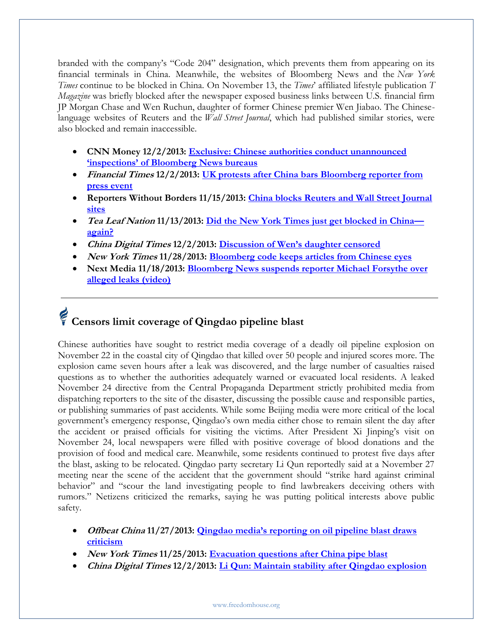branded with the company's "Code 204" designation, which prevents them from appearing on its financial terminals in China. Meanwhile, the websites of Bloomberg News and the *New York Times* continue to be blocked in China. On November 13, the *Times*' affiliated lifestyle publication *T Magazine* was briefly blocked after the newspaper exposed business links between U.S. financial firm JP Morgan Chase and Wen Ruchun, daughter of former Chinese premier Wen Jiabao. The Chineselanguage websites of Reuters and the *Wall Street Journal*, which had published similar stories, were also blocked and remain inaccessible.

- **CNN Money 12/2/2013: [Exclusive: Chinese authorities conduct unannounced](http://finance.fortune.cnn.com/2013/12/02/chinese-authorities-conduct-unannounced-inspections-of-bloomberg-news-bureaus/)  ['inspections' of Bloomberg News bureaus](http://finance.fortune.cnn.com/2013/12/02/chinese-authorities-conduct-unannounced-inspections-of-bloomberg-news-bureaus/)**
- **Financial Times 12/2/2013: [UK protests after China bars Bloomberg reporter from](http://www.ft.com/intl/cms/s/0/ba5d1dda-5b55-11e3-848e-00144feabdc0.html#axzz2mKpq0upP)  [press event](http://www.ft.com/intl/cms/s/0/ba5d1dda-5b55-11e3-848e-00144feabdc0.html#axzz2mKpq0upP)**
- **Reporters Without Borders 11/15/2013: [China blocks Reuters and Wall Street Journal](http://en.rsf.org/china-china-blocks-reuters-and-wall-15-11-2013,45463.html)  [sites](http://en.rsf.org/china-china-blocks-reuters-and-wall-15-11-2013,45463.html)**
- **Tea Leaf Nation 11/13/2013: [Did the New York Times just get blocked in China](http://www.tealeafnation.com/2013/11/did-the-new-york-times-just-get-blocked-in-china-again/#sthash.VpGQ4QFi.dpuf) [again?](http://www.tealeafnation.com/2013/11/did-the-new-york-times-just-get-blocked-in-china-again/#sthash.VpGQ4QFi.dpuf)**
- **China Digital Times 12/2/2013: [Discussion of Wen's daughter censored](https://chinadigitaltimes.net/2013/11/discussion-wens-daughter-censored/)**
- **New York Times 11/28/2013: [Bloomberg code keeps articles from Chinese eyes](http://sinosphere.blogs.nytimes.com/2013/11/28/bloomberg-code-keeps-articles-from-chinese-eyes/)**
- **Next Media 11/18/2013: [Bloomberg News suspends reporter Michael Forsythe over](http://www.youtube.com/watch?v=fHsCp5AtrEY&sns=tw)  [alleged leaks \(video\)](http://www.youtube.com/watch?v=fHsCp5AtrEY&sns=tw)**

# **Censors limit coverage of Qingdao pipeline blast**

Chinese authorities have sought to restrict media coverage of a deadly oil pipeline explosion on November 22 in the coastal city of Qingdao that killed over 50 people and injured scores more. The explosion came seven hours after a leak was discovered, and the large number of casualties raised questions as to whether the authorities adequately warned or evacuated local residents. A leaked November 24 directive from the Central Propaganda Department strictly prohibited media from dispatching reporters to the site of the disaster, discussing the possible cause and responsible parties, or publishing summaries of past accidents. While some Beijing media were more critical of the local government's emergency response, Qingdao's own media either chose to remain silent the day after the accident or praised officials for visiting the victims. After President Xi Jinping's visit on November 24, local newspapers were filled with positive coverage of blood donations and the provision of food and medical care. Meanwhile, some residents continued to protest five days after the blast, asking to be relocated. Qingdao party secretary Li Qun reportedly said at a November 27 meeting near the scene of the accident that the government should "strike hard against criminal behavior" and "scour the land investigating people to find lawbreakers deceiving others with rumors." Netizens criticized the remarks, saying he was putting political interests above public safety.

- **Offbeat China 11/27/2013: [Qingdao media's reporting on oil pipeline blast draws](http://offbeatchina.com/qingdao-medias-reporting-on-oil-pipeline-blast-draws-criticism)  [criticism](http://offbeatchina.com/qingdao-medias-reporting-on-oil-pipeline-blast-draws-criticism)**
- **New York Times 11/25/2013: [Evacuation questions after China pipe blast](http://sinosphere.blogs.nytimes.com/2013/11/25/evacuation-questions-after-china-pipe-blast/?_r=0)**
- **China Digital Times 12/2/2013: [Li Qun: Maintain stability after Qingdao explosion](https://chinadigitaltimes.net/2013/11/li-qun-maintain-stability-qingdao-explosion/)**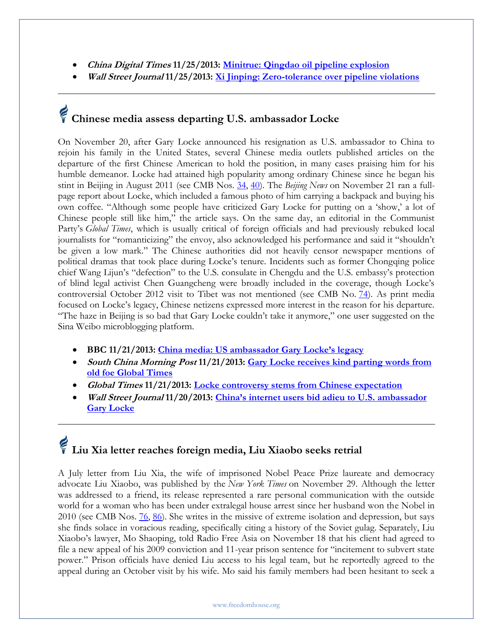- **China Digital Times 11/25/2013: [Minitrue: Qingdao oil pipeline explosion](https://chinadigitaltimes.net/2013/11/minitrue-qingdao-oil-pipeline-explosion/)**
- **Wall Street Journal 11/25/2013: [Xi Jinping: Zero-tolerance over pipeline violations](http://blogs.wsj.com/chinarealtime/2013/11/25/xi-jinping-zero-tolerance-over-pipeline-violations/)**

# **Chinese media assess departing U.S. ambassador Locke**

On November 20, after Gary Locke announced his resignation as U.S. ambassador to China to rejoin his family in the United States, several Chinese media outlets published articles on the departure of the first Chinese American to hold the position, in many cases praising him for his humble demeanor. Locke had attained high popularity among ordinary Chinese since he began his stint in Beijing in August 2011 (see CMB Nos. [34,](http://www.freedomhouse.org/article/china-media-bulletin-issue-no-34) [40\)](http://www.freedomhouse.org/article/china-media-bulletin-issue-no-40). The *Beijing News* on November 21 ran a fullpage report about Locke, which included a famous photo of him carrying a backpack and buying his own coffee. "Although some people have criticized Gary Locke for putting on a 'show,' a lot of Chinese people still like him," the article says. On the same day, an editorial in the Communist Party's *Global Times*, which is usually critical of foreign officials and had previously rebuked local journalists for "romanticizing" the envoy, also acknowledged his performance and said it "shouldn't be given a low mark." The Chinese authorities did not heavily censor newspaper mentions of political dramas that took place during Locke's tenure. Incidents such as former Chongqing police chief Wang Lijun's "defection" to the U.S. consulate in Chengdu and the U.S. embassy's protection of blind legal activist Chen Guangcheng were broadly included in the coverage, though Locke's controversial October 2012 visit to Tibet was not mentioned (see CMB No. [74\)](http://www.freedomhouse.org/freedomhouse.org/cmb/74_111512#6). As print media focused on Locke's legacy, Chinese netizens expressed more interest in the reason for his departure. "The haze in Beijing is so bad that Gary Locke couldn't take it anymore," one user suggested on the Sina Weibo microblogging platform.

- **BBC 11/21/2013: [China media: US ambassador Gary Locke's legacy](http://www.bbc.co.uk/news/world-asia-china-25029646)**
- **South China Morning Post 11/21/2013: [Gary Locke receives kind parting words from](http://www.scmp.com/news/china-insider/article/1361807/gary-locke-receives-kind-parting-words-old-foe-global-times)  [old foe Global Times](http://www.scmp.com/news/china-insider/article/1361807/gary-locke-receives-kind-parting-words-old-foe-global-times)**
- **Global Times 11/21/2013: [Locke controversy stems from Chinese expectation](http://www.globaltimes.cn/content/826511.shtml#.UpzEx8SkrmR)**
- **Wall Street Journal 11/20/2013: [China's internet users bid adieu to U.S. ambassador](http://blogs.wsj.com/chinarealtime/2013/11/20/chinas-internet-users-bid-adieu-to-u-s-ambassador-gary-locke/)  [Gary Locke](http://blogs.wsj.com/chinarealtime/2013/11/20/chinas-internet-users-bid-adieu-to-u-s-ambassador-gary-locke/)**

## **Liu Xia letter reaches foreign media, Liu Xiaobo seeks retrial**

A July letter from Liu Xia, the wife of imprisoned Nobel Peace Prize laureate and democracy advocate Liu Xiaobo, was published by the *New York Times* on November 29. Although the letter was addressed to a friend, its release represented a rare personal communication with the outside world for a woman who has been under extralegal house arrest since her husband won the Nobel in 2010 (see CMB Nos. [76,](http://www.freedomhouse.org/cmb/76_120612#3) [86\)](http://www.freedomhouse.org/86_050213). She writes in the missive of extreme isolation and depression, but says she finds solace in voracious reading, specifically citing a history of the Soviet gulag. Separately, Liu Xiaobo's lawyer, Mo Shaoping, told Radio Free Asia on November 18 that his client had agreed to file a new appeal of his 2009 conviction and 11-year prison sentence for "incitement to subvert state power." Prison officials have denied Liu access to his legal team, but he reportedly agreed to the appeal during an October visit by his wife. Mo said his family members had been hesitant to seek a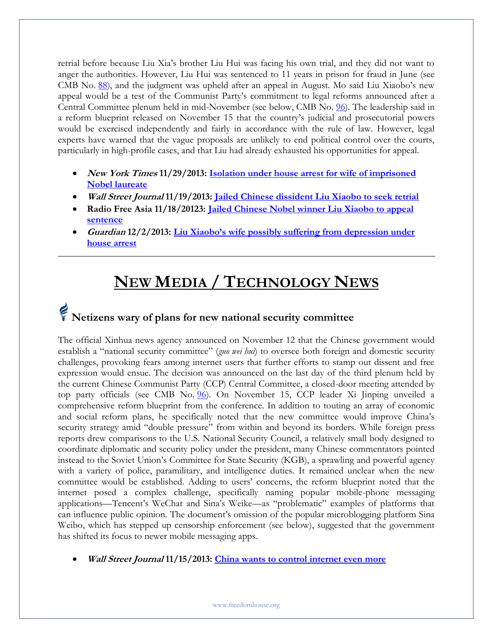retrial before because Liu Xia's brother Liu Hui was facing his own trial, and they did not want to anger the authorities. However, Liu Hui was sentenced to 11 years in prison for fraud in June (see CMB No. [88](http://www.freedomhouse.org/cmb/88_061313#10)), and the judgment was upheld after an appeal in August. Mo said Liu Xiaobo's new appeal would be a test of the Communist Party's commitment to legal reforms announced after a Central Committee plenum held in mid-November (see below, CMB No. [96\)](http://www.freedomhouse.org/cmb/96_111213#1). The leadership said in a reform blueprint released on November 15 that the country's judicial and prosecutorial powers would be exercised independently and fairly in accordance with the rule of law. However, legal experts have warned that the vague proposals are unlikely to end political control over the courts, particularly in high-profile cases, and that Liu had already exhausted his opportunities for appeal.

- **New York Times 11/29/2013: [Isolation under house arrest for wife of imprisoned](http://sinosphere.blogs.nytimes.com/2013/11/29/isolation-under-house-arrest-for-wife-of-imprisoned-nobel-laureate/)  [Nobel laureate](http://sinosphere.blogs.nytimes.com/2013/11/29/isolation-under-house-arrest-for-wife-of-imprisoned-nobel-laureate/)**
- **Wall Street Journal 11/19/2013: [Jailed Chinese dissident Liu Xiaobo to seek retrial](http://blogs.wsj.com/chinarealtime/2013/11/19/chinese-dissident-liu-xiaobo-to-request-retrial/)**
- **Radio Free Asia 11/18/20123: [Jailed Chinese Nobel winner Liu Xiaobo to appeal](http://www.rfa.org/english/news/china/liu-xiaobo-11182013121554.html)  [sentence](http://www.rfa.org/english/news/china/liu-xiaobo-11182013121554.html)**
- **Guardian 12/2/2013: [Liu Xiaobo's wife possibly suffering from depression under](http://www.theguardian.com/world/2013/dec/02/liu-xiaobo-wife-depression-house-arrest-xia-nobel-peace)  [house arrest](http://www.theguardian.com/world/2013/dec/02/liu-xiaobo-wife-depression-house-arrest-xia-nobel-peace)**

### **NEW MEDIA / TECHNOLOGY NEWS**

### **Netizens wary of plans for new national security committee**

The official Xinhua news agency announced on November 12 that the Chinese government would establish a "national security committee" (*guo wei hui*) to oversee both foreign and domestic security challenges, provoking fears among internet users that further efforts to stamp out dissent and free expression would ensue. The decision was announced on the last day of the third plenum held by the current Chinese Communist Party (CCP) Central Committee, a closed-door meeting attended by top party officials (see CMB No. [96\)](http://www.freedomhouse.org/cmb/96_111213#1). On November 15, CCP leader Xi Jinping unveiled a comprehensive reform blueprint from the conference. In addition to touting an array of economic and social reform plans, he specifically noted that the new committee would improve China's security strategy amid "double pressure" from within and beyond its borders. While foreign press reports drew comparisons to the U.S. National Security Council, a relatively small body designed to coordinate diplomatic and security policy under the president, many Chinese commentators pointed instead to the Soviet Union's Committee for State Security (KGB), a sprawling and powerful agency with a variety of police, paramilitary, and intelligence duties. It remained unclear when the new committee would be established. Adding to users' concerns, the reform blueprint noted that the internet posed a complex challenge, specifically naming popular mobile-phone messaging applications—Tencent's WeChat and Sina's Weike—as "problematic" examples of platforms that can influence public opinion. The document's omission of the popular microblogging platform Sina Weibo, which has stepped up censorship enforcement (see below), suggested that the government has shifted its focus to newer mobile messaging apps.

**Wall Street Journal 11/15/2013: [China wants to control internet even more](http://blogs.wsj.com/chinarealtime/2013/11/15/china-wants-greater-internet-control-public-opinion-guidance/?mod=chinablog)**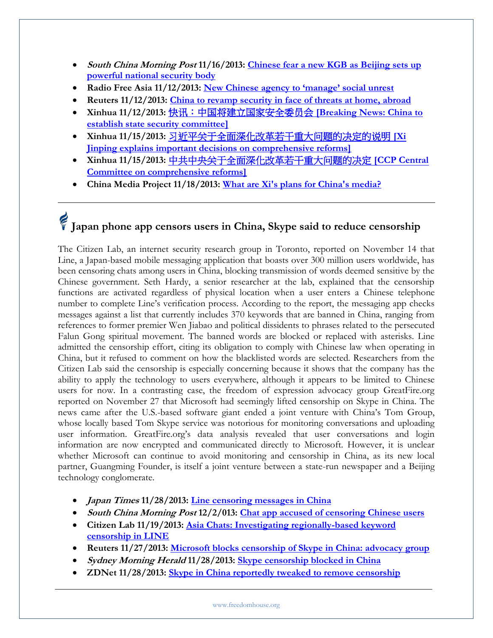- **South China Morning Post 11/16/2013: [Chinese fear a new KGB as Beijing sets up](http://www.scmp.com/news/china-insider/article/1355760/chinese-fear-new-kgb-beijing-sets-powerful-national-security-body)  [powerful national security body](http://www.scmp.com/news/china-insider/article/1355760/chinese-fear-new-kgb-beijing-sets-powerful-national-security-body)**
- **Radio Free Asia 11/12/2013: [New Chinese agency to 'manage' social unrest](http://www.rfa.org/english/news/china/agency-11122013140403.html)**
- **Reuters 11/12/2013: China to revamp security [in face of threats at home, abroad](http://www.reuters.com/article/2013/11/12/us-china-reform-politics-idUSBRE9AB0Q920131112)**
- **Xinhua 11/12/2013:** [快讯:中国将建立国家安全委员会](http://news.ifeng.com/mainland/special/sbjszqh/content-3/detail_2013_11/12/31186404_0.shtml?_from_ralated) **[\[Breaking News: China to](http://news.ifeng.com/mainland/special/sbjszqh/content-3/detail_2013_11/12/31186404_0.shtml?_from_ralated)  [establish state security committee\]](http://news.ifeng.com/mainland/special/sbjszqh/content-3/detail_2013_11/12/31186404_0.shtml?_from_ralated)**
- **Xinhua 11/15/2013:** [习近平关于全面深化改革若干重大问题的决定的说明](http://www.gov.cn/ldhd/2013-11/15/content_2528186.htm) **[\[Xi](http://www.gov.cn/ldhd/2013-11/15/content_2528186.htm)  [Jinping explains important decisions on comprehensive reforms\]](http://www.gov.cn/ldhd/2013-11/15/content_2528186.htm)**
- **Xinhua 11/15/2013:** [中共中央关于全面深化改革若干重大问题的决定](http://www.gov.cn/jrzg/2013-11/15/content_2528179.htm) **[\[CCP Central](http://www.gov.cn/jrzg/2013-11/15/content_2528179.htm)  [Committee on comprehensive reforms\]](http://www.gov.cn/jrzg/2013-11/15/content_2528179.htm)**
- **China Media Project 11/18/2013: [What are Xi's plans for China's media?](http://cmp.hku.hk/2013/11/18/34679)**

## **Japan phone app censors users in China, Skype said to reduce censorship**

The Citizen Lab, an internet security research group in Toronto, reported on November 14 that Line, a Japan-based mobile messaging application that boasts over 300 million users worldwide, has been censoring chats among users in China, blocking transmission of words deemed sensitive by the Chinese government. Seth Hardy, a senior researcher at the lab, explained that the censorship functions are activated regardless of physical location when a user enters a Chinese telephone number to complete Line's verification process. According to the report, the messaging app checks messages against a list that currently includes 370 keywords that are banned in China, ranging from references to former premier Wen Jiabao and political dissidents to phrases related to the persecuted Falun Gong spiritual movement. The banned words are blocked or replaced with asterisks. Line admitted the censorship effort, citing its obligation to comply with Chinese law when operating in China, but it refused to comment on how the blacklisted words are selected. Researchers from the Citizen Lab said the censorship is especially concerning because it shows that the company has the ability to apply the technology to users everywhere, although it appears to be limited to Chinese users for now. In a contrasting case, the freedom of expression advocacy group GreatFire.org reported on November 27 that Microsoft had seemingly lifted censorship on Skype in China. The news came after the U.S.-based software giant ended a joint venture with China's Tom Group, whose locally based Tom Skype service was notorious for monitoring conversations and uploading user information. GreatFire.org's data analysis revealed that user conversations and login information are now encrypted and communicated directly to Microsoft. However, it is unclear whether Microsoft can continue to avoid monitoring and censorship in China, as its new local partner, Guangming Founder, is itself a joint venture between a state-run newspaper and a Beijing technology conglomerate.

- **Japan Times 11/28/2013: [Line censoring messages in China](http://www.japantimes.co.jp/news/2013/11/28/national/line-censoring-messages-in-china/#.Upz_M8SkrmQ)**
- **South China Morning Post 12/2/013: [Chat app accused of censoring Chinese users](http://www.scmp.com/business/companies/article/1370549/chat-app-accused-censoring-chinese-users)**
- **Citizen Lab 11/19/2013: [Asia Chats: Investigating regionally-based keyword](https://citizenlab.org/2013/11/asia-chats-investigating-regionally-based-keyword-censorship-line/#update1)  [censorship in LINE](https://citizenlab.org/2013/11/asia-chats-investigating-regionally-based-keyword-censorship-line/#update1)**
- **Reuters 11/27/2013: [Microsoft blocks censorship of Skype in China: advocacy group](http://www.reuters.com/article/2013/11/27/us-microsoft-china-censorship-idUSBRE9AQ0Q520131127)**
- **Sydney Morning Herald 11/28/2013: [Skype censorship blocked in China](http://www.smh.com.au/it-pro/skype-censorship-blocked-in-china-20131127-hv3us.html)**
- **ZDNet 11/28/2013: [Skype in China reportedly tweaked to remove censorship](http://www.zdnet.com/cn/skype-in-china-reportedly-tweaked-to-remove-censorship-7000023721/)**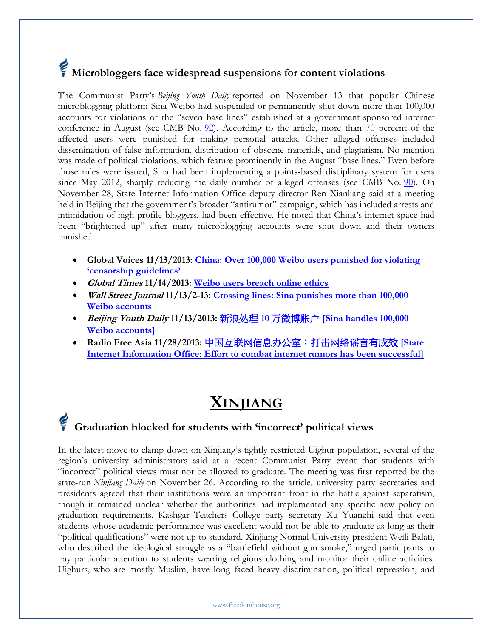## **Microbloggers face widespread suspensions for content violations**

The Communist Party's *Beijing Youth Daily* reported on November 13 that popular Chinese microblogging platform Sina Weibo had suspended or permanently shut down more than 100,000 accounts for violations of the "seven base lines" established at a government-sponsored internet conference in August (see CMB No. [92\)](http://www.freedomhouse.org/cmb/92_090513#6). According to the article, more than 70 percent of the affected users were punished for making personal attacks. Other alleged offenses included dissemination of false information, distribution of obscene materials, and plagiarism. No mention was made of political violations, which feature prominently in the August "base lines." Even before those rules were issued, Sina had been implementing a points-based disciplinary system for users since May 2012, sharply reducing the daily number of alleged offenses (see CMB No. [90\)](http://www.freedomhouse.org/cmb/90_072513#10). On November 28, State Internet Information Office deputy director Ren Xianliang said at a meeting held in Beijing that the government's broader "antirumor" campaign, which has included arrests and intimidation of high-profile bloggers, had been effective. He noted that China's internet space had been "brightened up" after many microblogging accounts were shut down and their owners punished.

- **Global Voices 11/13/2013: [China: Over 100,000 Weibo users punished for violating](http://advocacy.globalvoicesonline.org/2013/11/13/china-over-100000-weibo-users-punished-for-violating-censorship-guidelines/)  ['censorship guidelines'](http://advocacy.globalvoicesonline.org/2013/11/13/china-over-100000-weibo-users-punished-for-violating-censorship-guidelines/)**
- **Global Times 11/14/2013: [Weibo users breach online ethics](http://www.globaltimes.cn/content/824758.shtml#.UpzSxMSkrmQ)**
- **Wall Street Journal 11/13/2-13: [Crossing lines: Sina punishes more than 100,000](http://blogs.wsj.com/chinarealtime/2013/11/13/following-7-bottom-lines-sina-strikes-at-weibo-accounts/?mod=e2tw)  [Weibo accounts](http://blogs.wsj.com/chinarealtime/2013/11/13/following-7-bottom-lines-sina-strikes-at-weibo-accounts/?mod=e2tw)**
- **Beijing Youth Daily 11/13/2013:** 新浪处理 **10** 万微博账户 **[\[Sina handles 100,000](http://epaper.ynet.com/html/2013-11/13/content_23864.htm?div=-1)  [Weibo accounts\]](http://epaper.ynet.com/html/2013-11/13/content_23864.htm?div=-1)**
- **Radio Free Asia 11/28/2013:** [中国互联网信息办公室:打击网络谣言有成效](http://www.rfa.org/mandarin/yataibaodao/meiti/nu-11282013141840.html) **[State [Internet Information Office: Effort to combat internet rumors has been successful\]](http://www.rfa.org/mandarin/yataibaodao/meiti/nu-11282013141840.html)**

### **XINJIANG**

### **Graduation blocked for students with 'incorrect' political views**

In the latest move to clamp down on Xinjiang's tightly restricted Uighur population, several of the region's university administrators said at a recent Communist Party event that students with "incorrect" political views must not be allowed to graduate. The meeting was first reported by the state-run *Xinjiang Daily* on November 26. According to the article, university party secretaries and presidents agreed that their institutions were an important front in the battle against separatism, though it remained unclear whether the authorities had implemented any specific new policy on graduation requirements. Kashgar Teachers College party secretary Xu Yuanzhi said that even students whose academic performance was excellent would not be able to graduate as long as their "political qualifications" were not up to standard. Xinjiang Normal University president Weili Balati, who described the ideological struggle as a "battlefield without gun smoke," urged participants to pay particular attention to students wearing religious clothing and monitor their online activities. Uighurs, who are mostly Muslim, have long faced heavy discrimination, political repression, and